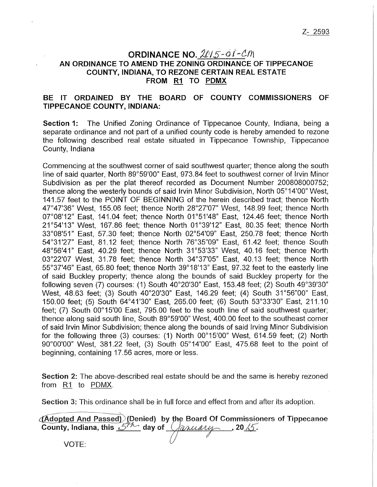## **ORDINANCE NO. 2015-01-CM AN ORDINANCE TO AMEND THE ZONING ORDINANCE OF TIPPECANOE COUNTY, INDIANA, TO REZONE CERTAIN REAL ESTATE FROM R1 TO PDMX**

## **BE IT ORDAINED BY THE BOARD OF COUNTY COMMISSIONERS OF TIPPECANOE COUNTY, INDIANA:**

**Section 1:** The Unified Zoning Ordinance of Tippecanoe County, Indiana, being a separate ordinance and not part of a unified county code is hereby amended to rezone the following described real estate situated in Tippecanoe Township, Tippecanoe County, Indiana

Commencing at the southwest corner of said southwest quarter; thence along the south line of said quarter, North 89°59'00" East, 973.84 feet to southwest corner of Irvin Minor Subdivision as per the plat thereof recorded as Document Number 200808000752; thence along the westerly bounds of said Irvin Minor Subdivision, North 05°14'00" West, 141.57 feet to the POINT OF BEGINNING of the herein described tract; thence North 47°47'36" West, 155.06 feet; thence North 28°27'07" West, 148.99 feet; thence North 07°08'12" East, 141.04 feet; thence North 01°51'48" East, 124.46 feet; thence North 21°54'13" West, 167.86 feet; thence North 01°39'12" East, 80.35 feet; thence North 33°08'51" East, 57.30 feet; thence North 02°54'09" East, 250. 78 feet; thence North 54°31'27" East, 81.12 feet; thence North 76°35"09" East, 61.42 feet; thence South 48°56'41" East, 40.29 feet; thence North 31°53'33" West, 40.16 feet; thence North 03°22'07 West, 31.78 feet; thence North 34°37'05" East, 40.13 feet; thence North 55°37'46" East, 65.80 feet; thence North 39°18'13" East, 97.32 feet to the easterly line of said Buckley property; thence along the bounds of said Buckley property for the following seven (7) courses: (1) South 40°20'30" East, 153.48 feet; (2) South 49°39'30" West, 48.63 feet; (3) South 40°20'30" East, 146.29 feet; (4) South 31°56"00" East, 150.00 feet; (5) South 64°41'30" East, 265.00 feet; (6) South 53°33'30" East, 211.10 feet; (7) South 00°15'00 East, 795.00 feet to the south line of said southwest quarter; thence along said south line, South 89°59'00" West, 400.00 feet to the southeast corner of said Irvin Minor Subdivision; thence along the bounds of said Irving Minor Subdivision for the following three (3) courses: (1) North 00°15'00" West, 614.59 feet; (2) North 90°00'00" West, 381.22 feet, (3) South 05°14'00" East, 475.68 feet to the point of beginning, containing 17.56 acres, more or less.

Section 2: The above-described real estate should be and the same is hereby rezoned from R1 to PDMX.

Section 3: This ordinance shall be in full force and effect from and after its adoption.

 $\sim$  (Adopted And Passed) (Denied) by the Board Of Commissioners of Tippecanoe County, Indiana, this  $5^{1/2}$  day of  $\sqrt{anu\alpha v}$ , 20 15.

VOTE: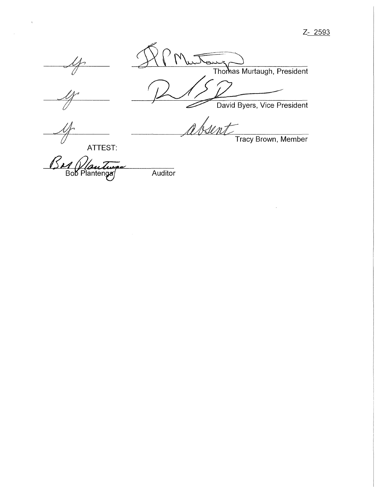Z- 2593



Thomas Murtaugh, President *David Byers, Vice President* 

absent Tracy Brown, Member

ATTEST:

Bar Vlautinger<br>Bob Plantengas Auditor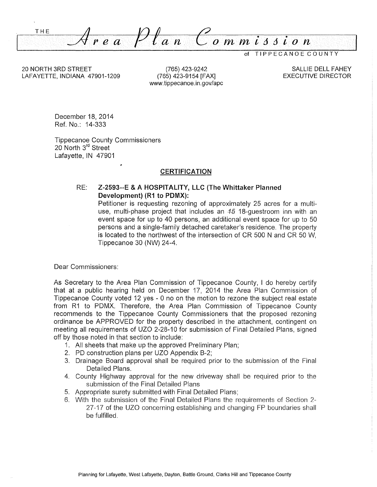THE  $\overline{o}$   $\overline{m}$   $\overline{m}$   $\overline{i}$   $\overline{s}$   $\overline{i}$   $\overline{o}$   $\overline{n}$ *=.;4: r e a*   $a<sub>n</sub>$ 

TIPPECANOE COUNTY

20 NORTH 3RD STREET LAFAYETTE, INDIANA 47901-1209

(765) 423-9242 (765) 423-9154 [FAX] www.tippecanoe.in.gov/ape

SALLIE DELL FAHEY EXECUTIVE DIRECTOR

December 18, 2014 Ref. No.: 14-333

Tippecanoe County Commissioners 20 North 3<sup>rd</sup> Street Lafayette, IN 47901

#### **CERTIFICATION**

RE: **Z-2593--E & A HOSPITALITY, LLC (The Whittaker Planned Development) (R1 to PDMX):** 

Petitioner is requesting rezoning of approximately 25 acres for a multiuse, multi-phase project that includes an 45 18-guestroom inn with an event space for up to 40 persons, an additional event space for up to 50 persons and a single-family detached caretaker's residence. The property is located to the northwest of the intersection of CR 500 N and CR 50 W, Tippecanoe 30 (NW) 24-4.

Dear Commissioners:

As Secretary to the Area Plan Commission of Tippecanoe County, I do hereby certify that at a public hearing held on December 17, 2014 the Area Plan Commission of Tippecanoe County voted 12 yes - 0 no on the motion to rezone the subject real estate from R1 to PDMX. Therefore, the Area Plan Commission of Tippecanoe County recommends to the Tippecanoe County Commissioners that the proposed rezoning ordinance be APPROVED for the property described in the attachment, contingent on meeting all requirements of UZO 2-28-10 for submission of Final Detailed Plans, signed off by those noted in that section to include:

- 1. All sheets that make up the approved Preliminary Plan;
- 2. PD construction plans per UZO Appendix B-2;
- 3. Drainage Board approval shall be required prior to the submission of the Final Detailed Plans.
- 4. County Highway approval for the new driveway shall be required prior to the submission of the Final Detailed Plans
- 5. Appropriate surety submitted with Final Detailed Plans;
- 6. With the submission of the Final Detailed Plans the requirements of Section 2- 27-17 of the UZO concerning establishing and changing FP boundaries shall be fulfilled.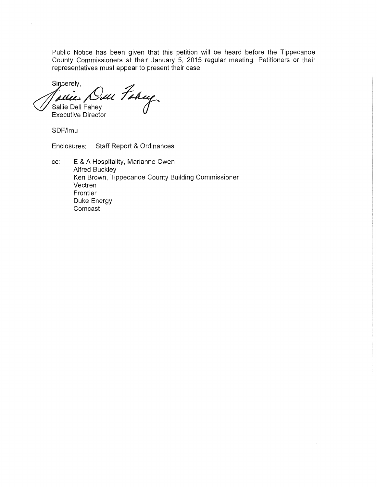Public Notice has been given that this petition will be heard before the Tippecanoe County Commissioners at their January 5, 2015 regular meeting. Petitioners or their representatives must appear to present their case.

Sincerely,<br>Jaune Dell Fahey<br>Sallie Dell Fahey Sincerely, Sallie Dell Fahey

**Executive Director** 

SDF/lmu

 $\lambda$ 

Enclosures: Staff Report & Ordinances

cc: E & A Hospitality, Marianne Owen Alfred Buckley Ken Brown, Tippecanoe County Building Commissioner Vectren Frontier Duke Energy Comcast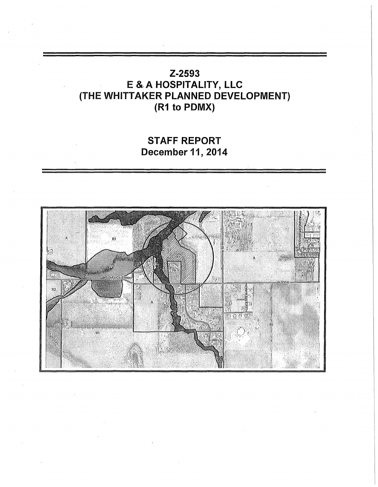# Z-2593 E &.A HOSPITALITY, LLC (THE WHITTAKER PLANNED DEVELOPMENT) (R1 to PDMX)

# STAFF REPORT December 11, 2014

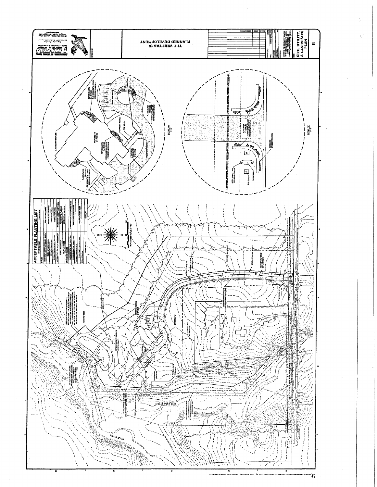

£,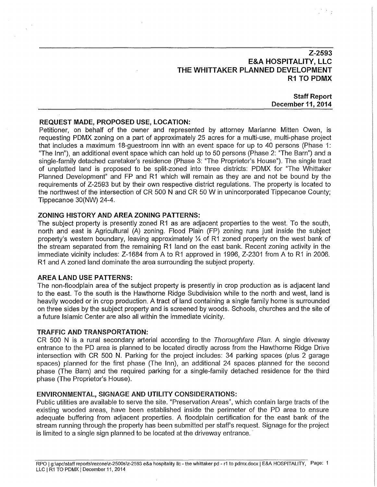## **Z-2593 E&A HOSPITALITY, LLC THE WHITTAKER PLANNED DEVELOPMENT R1 TO PDMX**

### **Staff Report December 11, 2014**

#### **REQUEST MADE, PROPOSED USE, LOCATION:**

Petitioner, on behalf of the owner and represented by attorney Marianne Mitten Owen, is requesting PDMX zoning on a part of approximately 25 acres for a multi-use, multi-phase project that includes a maximum 18-guestroom inn with an event space for up to 40 persons (Phase 1: "The Inn"), an additional event space which can hold up to 50 persons (Phase 2: 'The Barn") and a single-family detached caretaker's residence (Phase 3: "The Proprietor's House"). The single tract of unplatted land is proposed to be split-zoned into three districts: PDMX for 'The Whittaker Planned Development" and FP and R1 which will remain as they are and not be bound by the requirements of Z-2593 but by their own respective district regulations. The property is located to the northwest of the intersection of CR 500 N and CR 50 W in unincorporated Tippecanoe County; Tippecanoe 30(NW) 24-4.

#### **ZONING HISTORY AND AREA ZONING PATTERNS:**

The subject property is presently zoned R1 as are adjacent properties to the west. To the south, north and east is Agricultural (A) zoning. Flood Plain (FP) zoning runs just inside the subject property's western boundary, leaving approximately  $\frac{1}{4}$  of R1 zoned property on the west bank of the stream separated from the remaining R1 land on the east bank. Recent zoning activity in the immediate vicinity includes: Z-1684 from A to R1 approved in 1996, Z-2301 from A to R1 in 2006. R1 and A zoned land dominate the area surrounding the subject property.

#### **AREA LAND USE PATTERNS:**

The non-floodplain area of the subject property is presently in crop production as is adjacent land to the east. To the south is the Hawthorne Ridge Subdivision while to the north and west, land is heavily wooded or in crop production. A tract of land containing a single family home is surrounded on three sides by the subject property and is screened by woods. Schools, churches and the site of a future Islamic Center are also all within the immediate vicinity.

#### TRAFFIC AND TRANSPORTATION:

CR 500 N is a rural secondary arterial according to the *Thoroughfare Plan.* A single driveway entrance to the PD area is planned to be located directly across from the Hawthorne Ridge Drive intersection with CR 500 N. Parking for the project includes: 34 parking spaces (plus 2 garage spaces) planned for the first phase (The Inn), an additional 24 spaces planned for the second phase (The Barn) and the required parking for a single-family detached residence for the third phase (The Proprietor's House).

#### ENVIRONMENTAL, SIGNAGE AND UTILITY CONSIDERATIONS:

Public utilities are available to serve the site. "Preservation Areas", which contain large tracts of the existing wooded areas, have been established inside the perimeter of the PD area to ensure adequate buffering from adjacent properties. A floodplain certification for the east bank of the stream running through the property has been submitted per staff's request. Signage for the project is limited to a single sign planned to be located at the driveway entrance.